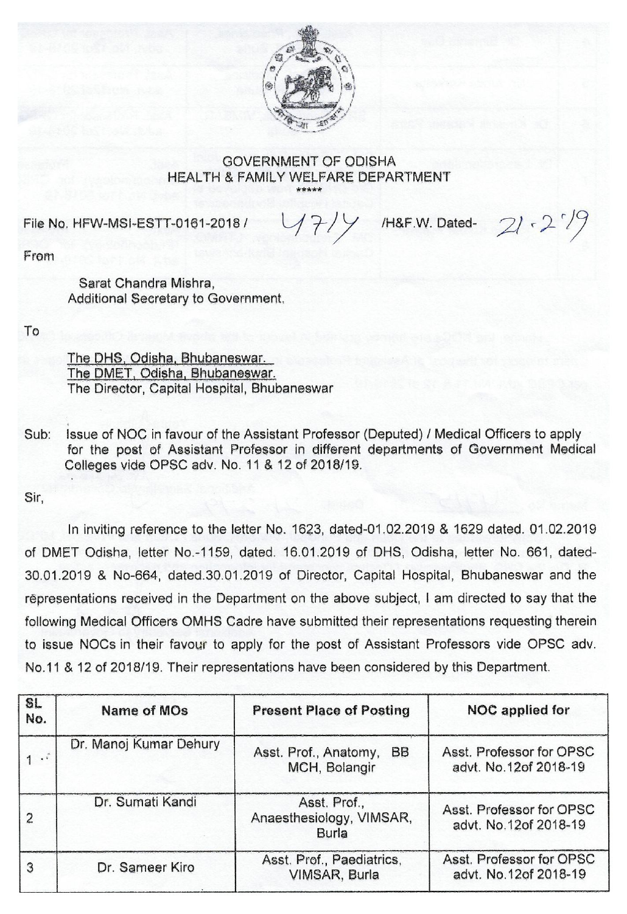

## GOVERNMENT OF ODISHA HEALTH & FAMILY WELFARE DEPARTMENT

File No. HFW-MSI-ESTT-0161-2018 /  $1/7/7$  /H&F.W. Dated- 21 - 2<sup>'</sup>

From

Sarat Chandra Mishra, Additional Secretary to Government.

To

The pHs, Odishe, Bhubaneswar. The DMET, Odisha, Bhubaneswar. The Director, Capital Hospital, Bhubaneswar

Sub: Issue of NOC in favour of the Assistant Professor (Deputed) / Medical Officers to apply for the post of Assistant Professor in different departments of Government Medical Colleges vide OPSC adv. No. 11 & 12 of 2018/19.

Sir,

In inviting reference to the letter No. 1623, dated-01.02.2019 & 1629 dated. 01.02.2019 of DMET Odisha, letter No.-1159, dated. 16.01.2019 of DHS, Odisha, letter No. 661, dated-30.01.2019 & No-664, dated.30.01.2019 of Director, Capital Hospital, Bhubaneswar and the representations received in the Department on the above subject, I am directed to say that the following Medical Officers OMHS Cadre have submitted their representations requesting therein to issue NOCs in their favour to apply for the post of Assistant Professors vide OPSC adv. No.11 & 12 of 2018/19. Their representations have been considered by this Department.

| <b>SL</b><br>No.  | Name of MOs            | <b>Present Place of Posting</b>                     | NOC applied for                                   |
|-------------------|------------------------|-----------------------------------------------------|---------------------------------------------------|
| $1 \cdot \hat{1}$ | Dr. Manoj Kumar Dehury | Asst. Prof., Anatomy,<br><b>BB</b><br>MCH, Bolangir | Asst. Professor for OPSC<br>advt. No.12of 2018-19 |
| $\overline{2}$    | Dr. Sumati Kandi       | Asst. Prof.,<br>Anaesthesiology, VIMSAR,<br>Burla   | Asst. Professor for OPSC<br>advt. No.12of 2018-19 |
| 3                 | Dr. Sameer Kiro        | Asst. Prof., Paediatrics,<br>VIMSAR, Burla          | Asst. Professor for OPSC<br>advt. No.12of 2018-19 |